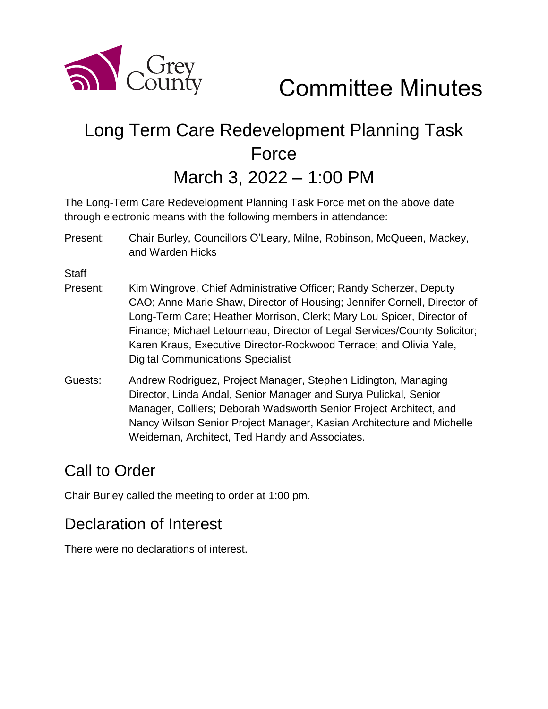

Committee Minutes

# Long Term Care Redevelopment Planning Task Force

March 3, 2022 – 1:00 PM

The Long-Term Care Redevelopment Planning Task Force met on the above date through electronic means with the following members in attendance:

Present: Chair Burley, Councillors O'Leary, Milne, Robinson, McQueen, Mackey, and Warden Hicks

**Staff** 

- Present: Kim Wingrove, Chief Administrative Officer; Randy Scherzer, Deputy CAO; Anne Marie Shaw, Director of Housing; Jennifer Cornell, Director of Long-Term Care; Heather Morrison, Clerk; Mary Lou Spicer, Director of Finance; Michael Letourneau, Director of Legal Services/County Solicitor; Karen Kraus, Executive Director-Rockwood Terrace; and Olivia Yale, Digital Communications Specialist
- Guests: Andrew Rodriguez, Project Manager, Stephen Lidington, Managing Director, Linda Andal, Senior Manager and Surya Pulickal, Senior Manager, Colliers; Deborah Wadsworth Senior Project Architect, and Nancy Wilson Senior Project Manager, Kasian Architecture and Michelle Weideman, Architect, Ted Handy and Associates.

#### Call to Order

Chair Burley called the meeting to order at 1:00 pm.

#### Declaration of Interest

There were no declarations of interest.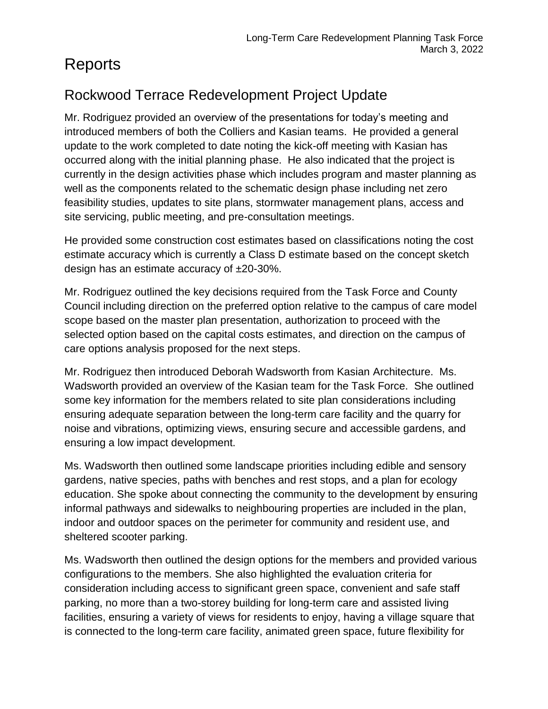## Reports

#### Rockwood Terrace Redevelopment Project Update

Mr. Rodriguez provided an overview of the presentations for today's meeting and introduced members of both the Colliers and Kasian teams. He provided a general update to the work completed to date noting the kick-off meeting with Kasian has occurred along with the initial planning phase. He also indicated that the project is currently in the design activities phase which includes program and master planning as well as the components related to the schematic design phase including net zero feasibility studies, updates to site plans, stormwater management plans, access and site servicing, public meeting, and pre-consultation meetings.

He provided some construction cost estimates based on classifications noting the cost estimate accuracy which is currently a Class D estimate based on the concept sketch design has an estimate accuracy of ±20-30%.

Mr. Rodriguez outlined the key decisions required from the Task Force and County Council including direction on the preferred option relative to the campus of care model scope based on the master plan presentation, authorization to proceed with the selected option based on the capital costs estimates, and direction on the campus of care options analysis proposed for the next steps.

Mr. Rodriguez then introduced Deborah Wadsworth from Kasian Architecture. Ms. Wadsworth provided an overview of the Kasian team for the Task Force. She outlined some key information for the members related to site plan considerations including ensuring adequate separation between the long-term care facility and the quarry for noise and vibrations, optimizing views, ensuring secure and accessible gardens, and ensuring a low impact development.

Ms. Wadsworth then outlined some landscape priorities including edible and sensory gardens, native species, paths with benches and rest stops, and a plan for ecology education. She spoke about connecting the community to the development by ensuring informal pathways and sidewalks to neighbouring properties are included in the plan, indoor and outdoor spaces on the perimeter for community and resident use, and sheltered scooter parking.

Ms. Wadsworth then outlined the design options for the members and provided various configurations to the members. She also highlighted the evaluation criteria for consideration including access to significant green space, convenient and safe staff parking, no more than a two-storey building for long-term care and assisted living facilities, ensuring a variety of views for residents to enjoy, having a village square that is connected to the long-term care facility, animated green space, future flexibility for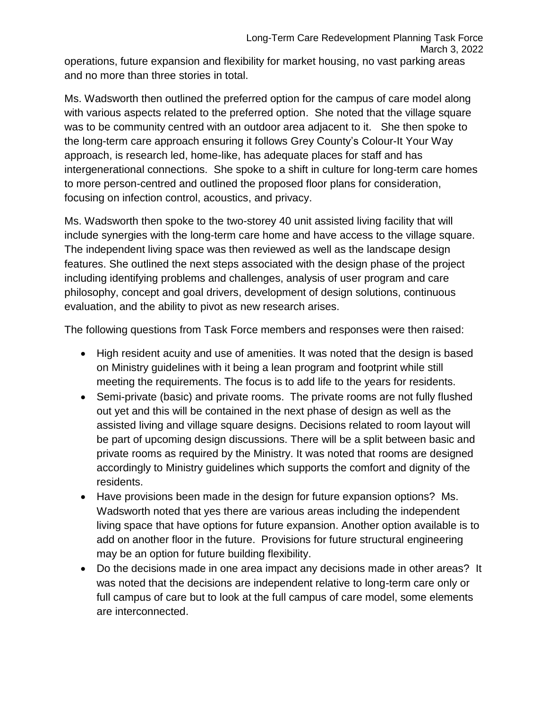operations, future expansion and flexibility for market housing, no vast parking areas and no more than three stories in total.

Ms. Wadsworth then outlined the preferred option for the campus of care model along with various aspects related to the preferred option. She noted that the village square was to be community centred with an outdoor area adjacent to it. She then spoke to the long-term care approach ensuring it follows Grey County's Colour-It Your Way approach, is research led, home-like, has adequate places for staff and has intergenerational connections. She spoke to a shift in culture for long-term care homes to more person-centred and outlined the proposed floor plans for consideration, focusing on infection control, acoustics, and privacy.

Ms. Wadsworth then spoke to the two-storey 40 unit assisted living facility that will include synergies with the long-term care home and have access to the village square. The independent living space was then reviewed as well as the landscape design features. She outlined the next steps associated with the design phase of the project including identifying problems and challenges, analysis of user program and care philosophy, concept and goal drivers, development of design solutions, continuous evaluation, and the ability to pivot as new research arises.

The following questions from Task Force members and responses were then raised:

- High resident acuity and use of amenities. It was noted that the design is based on Ministry guidelines with it being a lean program and footprint while still meeting the requirements. The focus is to add life to the years for residents.
- Semi-private (basic) and private rooms. The private rooms are not fully flushed out yet and this will be contained in the next phase of design as well as the assisted living and village square designs. Decisions related to room layout will be part of upcoming design discussions. There will be a split between basic and private rooms as required by the Ministry. It was noted that rooms are designed accordingly to Ministry guidelines which supports the comfort and dignity of the residents.
- Have provisions been made in the design for future expansion options? Ms. Wadsworth noted that yes there are various areas including the independent living space that have options for future expansion. Another option available is to add on another floor in the future. Provisions for future structural engineering may be an option for future building flexibility.
- Do the decisions made in one area impact any decisions made in other areas? It was noted that the decisions are independent relative to long-term care only or full campus of care but to look at the full campus of care model, some elements are interconnected.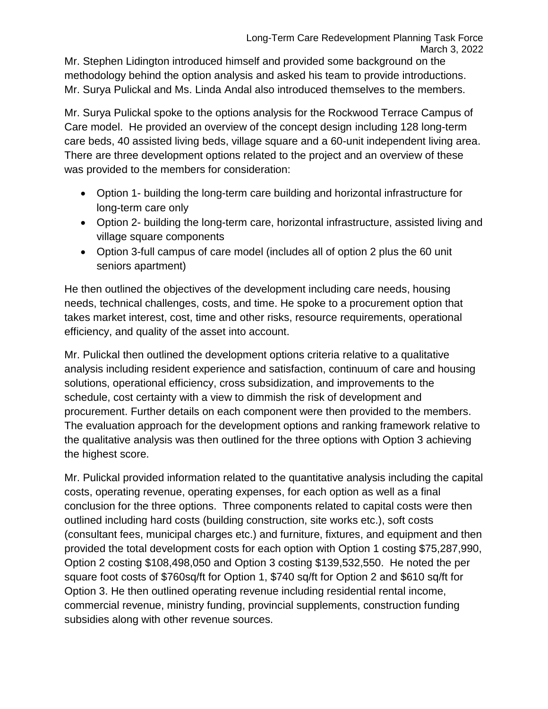Mr. Stephen Lidington introduced himself and provided some background on the methodology behind the option analysis and asked his team to provide introductions. Mr. Surya Pulickal and Ms. Linda Andal also introduced themselves to the members.

Mr. Surya Pulickal spoke to the options analysis for the Rockwood Terrace Campus of Care model. He provided an overview of the concept design including 128 long-term care beds, 40 assisted living beds, village square and a 60-unit independent living area. There are three development options related to the project and an overview of these was provided to the members for consideration:

- Option 1- building the long-term care building and horizontal infrastructure for long-term care only
- Option 2- building the long-term care, horizontal infrastructure, assisted living and village square components
- Option 3-full campus of care model (includes all of option 2 plus the 60 unit seniors apartment)

He then outlined the objectives of the development including care needs, housing needs, technical challenges, costs, and time. He spoke to a procurement option that takes market interest, cost, time and other risks, resource requirements, operational efficiency, and quality of the asset into account.

Mr. Pulickal then outlined the development options criteria relative to a qualitative analysis including resident experience and satisfaction, continuum of care and housing solutions, operational efficiency, cross subsidization, and improvements to the schedule, cost certainty with a view to dimmish the risk of development and procurement. Further details on each component were then provided to the members. The evaluation approach for the development options and ranking framework relative to the qualitative analysis was then outlined for the three options with Option 3 achieving the highest score.

Mr. Pulickal provided information related to the quantitative analysis including the capital costs, operating revenue, operating expenses, for each option as well as a final conclusion for the three options. Three components related to capital costs were then outlined including hard costs (building construction, site works etc.), soft costs (consultant fees, municipal charges etc.) and furniture, fixtures, and equipment and then provided the total development costs for each option with Option 1 costing \$75,287,990, Option 2 costing \$108,498,050 and Option 3 costing \$139,532,550. He noted the per square foot costs of \$760sq/ft for Option 1, \$740 sq/ft for Option 2 and \$610 sq/ft for Option 3. He then outlined operating revenue including residential rental income, commercial revenue, ministry funding, provincial supplements, construction funding subsidies along with other revenue sources.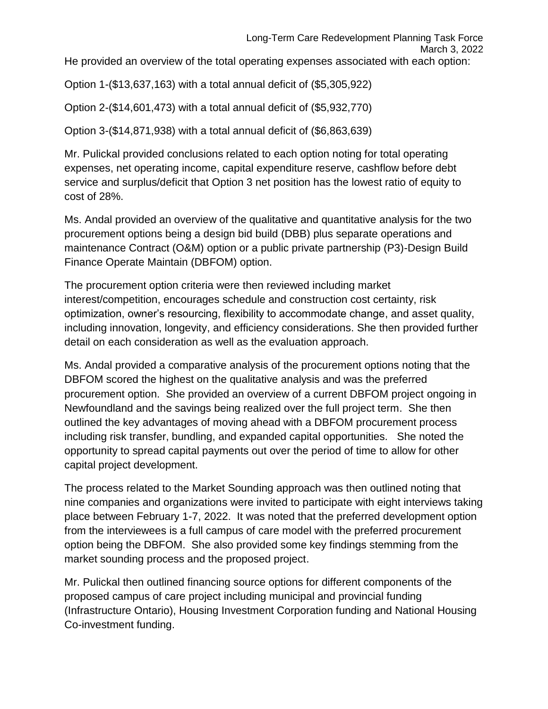Option 1-(\$13,637,163) with a total annual deficit of (\$5,305,922)

Option 2-(\$14,601,473) with a total annual deficit of (\$5,932,770)

Option 3-(\$14,871,938) with a total annual deficit of (\$6,863,639)

Mr. Pulickal provided conclusions related to each option noting for total operating expenses, net operating income, capital expenditure reserve, cashflow before debt service and surplus/deficit that Option 3 net position has the lowest ratio of equity to cost of 28%.

Ms. Andal provided an overview of the qualitative and quantitative analysis for the two procurement options being a design bid build (DBB) plus separate operations and maintenance Contract (O&M) option or a public private partnership (P3)-Design Build Finance Operate Maintain (DBFOM) option.

The procurement option criteria were then reviewed including market interest/competition, encourages schedule and construction cost certainty, risk optimization, owner's resourcing, flexibility to accommodate change, and asset quality, including innovation, longevity, and efficiency considerations. She then provided further detail on each consideration as well as the evaluation approach.

Ms. Andal provided a comparative analysis of the procurement options noting that the DBFOM scored the highest on the qualitative analysis and was the preferred procurement option. She provided an overview of a current DBFOM project ongoing in Newfoundland and the savings being realized over the full project term. She then outlined the key advantages of moving ahead with a DBFOM procurement process including risk transfer, bundling, and expanded capital opportunities. She noted the opportunity to spread capital payments out over the period of time to allow for other capital project development.

The process related to the Market Sounding approach was then outlined noting that nine companies and organizations were invited to participate with eight interviews taking place between February 1-7, 2022. It was noted that the preferred development option from the interviewees is a full campus of care model with the preferred procurement option being the DBFOM. She also provided some key findings stemming from the market sounding process and the proposed project.

Mr. Pulickal then outlined financing source options for different components of the proposed campus of care project including municipal and provincial funding (Infrastructure Ontario), Housing Investment Corporation funding and National Housing Co-investment funding.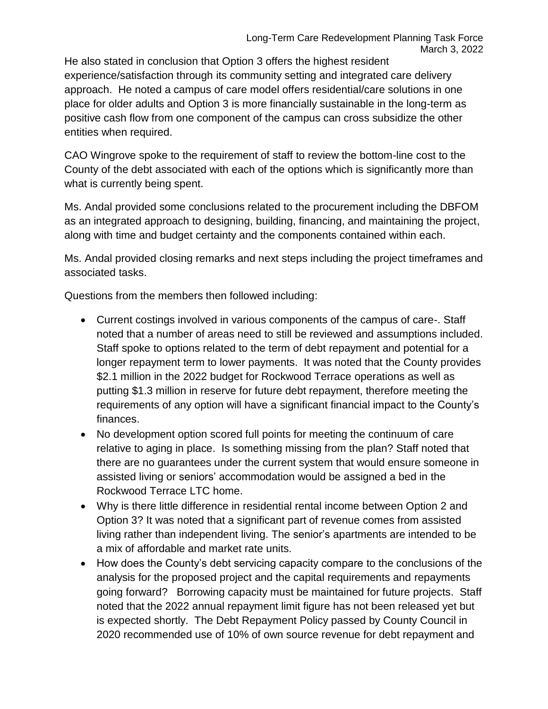He also stated in conclusion that Option 3 offers the highest resident experience/satisfaction through its community setting and integrated care delivery approach. He noted a campus of care model offers residential/care solutions in one place for older adults and Option 3 is more financially sustainable in the long-term as positive cash flow from one component of the campus can cross subsidize the other entities when required.

CAO Wingrove spoke to the requirement of staff to review the bottom-line cost to the County of the debt associated with each of the options which is significantly more than what is currently being spent.

Ms. Andal provided some conclusions related to the procurement including the DBFOM as an integrated approach to designing, building, financing, and maintaining the project, along with time and budget certainty and the components contained within each.

Ms. Andal provided closing remarks and next steps including the project timeframes and associated tasks.

Questions from the members then followed including:

- Current costings involved in various components of the campus of care-. Staff noted that a number of areas need to still be reviewed and assumptions included. Staff spoke to options related to the term of debt repayment and potential for a longer repayment term to lower payments. It was noted that the County provides \$2.1 million in the 2022 budget for Rockwood Terrace operations as well as putting \$1.3 million in reserve for future debt repayment, therefore meeting the requirements of any option will have a significant financial impact to the County's finances.
- No development option scored full points for meeting the continuum of care relative to aging in place. Is something missing from the plan? Staff noted that there are no guarantees under the current system that would ensure someone in assisted living or seniors' accommodation would be assigned a bed in the Rockwood Terrace LTC home.
- Why is there little difference in residential rental income between Option 2 and Option 3? It was noted that a significant part of revenue comes from assisted living rather than independent living. The senior's apartments are intended to be a mix of affordable and market rate units.
- How does the County's debt servicing capacity compare to the conclusions of the analysis for the proposed project and the capital requirements and repayments going forward? Borrowing capacity must be maintained for future projects. Staff noted that the 2022 annual repayment limit figure has not been released yet but is expected shortly. The Debt Repayment Policy passed by County Council in 2020 recommended use of 10% of own source revenue for debt repayment and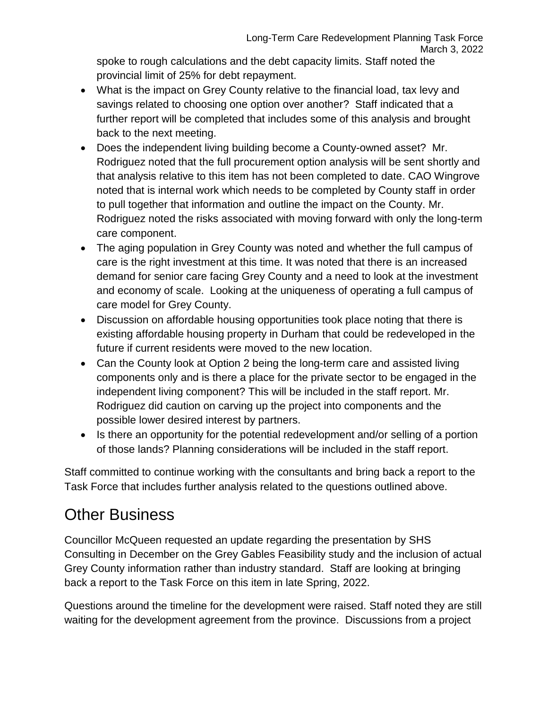spoke to rough calculations and the debt capacity limits. Staff noted the provincial limit of 25% for debt repayment.

- What is the impact on Grey County relative to the financial load, tax levy and savings related to choosing one option over another? Staff indicated that a further report will be completed that includes some of this analysis and brought back to the next meeting.
- Does the independent living building become a County-owned asset? Mr. Rodriguez noted that the full procurement option analysis will be sent shortly and that analysis relative to this item has not been completed to date. CAO Wingrove noted that is internal work which needs to be completed by County staff in order to pull together that information and outline the impact on the County. Mr. Rodriguez noted the risks associated with moving forward with only the long-term care component.
- The aging population in Grey County was noted and whether the full campus of care is the right investment at this time. It was noted that there is an increased demand for senior care facing Grey County and a need to look at the investment and economy of scale. Looking at the uniqueness of operating a full campus of care model for Grey County.
- Discussion on affordable housing opportunities took place noting that there is existing affordable housing property in Durham that could be redeveloped in the future if current residents were moved to the new location.
- Can the County look at Option 2 being the long-term care and assisted living components only and is there a place for the private sector to be engaged in the independent living component? This will be included in the staff report. Mr. Rodriguez did caution on carving up the project into components and the possible lower desired interest by partners.
- Is there an opportunity for the potential redevelopment and/or selling of a portion of those lands? Planning considerations will be included in the staff report.

Staff committed to continue working with the consultants and bring back a report to the Task Force that includes further analysis related to the questions outlined above.

## Other Business

Councillor McQueen requested an update regarding the presentation by SHS Consulting in December on the Grey Gables Feasibility study and the inclusion of actual Grey County information rather than industry standard. Staff are looking at bringing back a report to the Task Force on this item in late Spring, 2022.

Questions around the timeline for the development were raised. Staff noted they are still waiting for the development agreement from the province. Discussions from a project